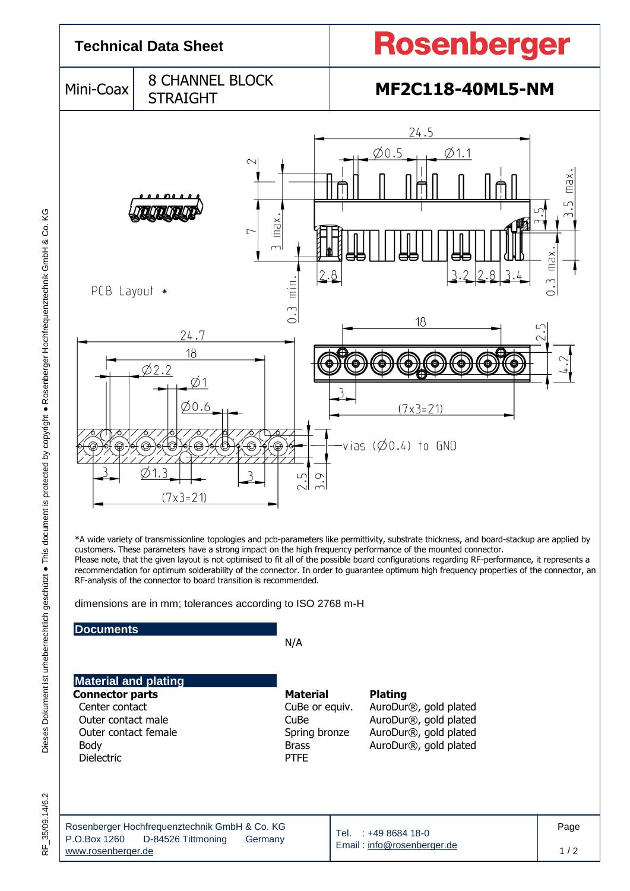

ΚG

 $\frac{\mu}{\alpha}$ 

35/09.14/6.2

Rosenberger Hochfrequenztechnik GmbH & Co. KG P.O.Box 1260 D-84526 Tittmoning Germany [www.rosenberger.de](http://www.rosenberger.de/) Tel. : +49 8684 18-0 Email [: info@rosenberger.de](mailto:info@rosenberger.de)  $1/2$